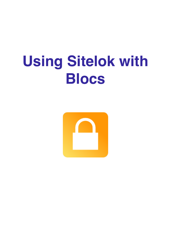# **Using Sitelok with Blocs**

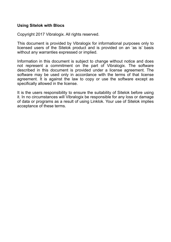#### **Using Sitelok with Blocs**

Copyright 2017 Vibralogix. All rights reserved.

This document is provided by Vibralogix for informational purposes only to licensed users of the Sitelok product and is provided on an 'as is' basis without any warranties expressed or implied.

Information in this document is subject to change without notice and does not represent a commitment on the part of Vibralogix. The software described in this document is provided under a license agreement. The software may be used only in accordance with the terms of that license agreement. It is against the law to copy or use the software except as specifically allowed in the license.

It is the users responsibility to ensure the suitability of Sitelok before using it. In no circumstances will Vibralogix be responsible for any loss or damage of data or programs as a result of using Linklok. Your use of Sitelok implies acceptance of these terms.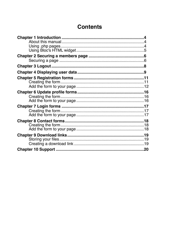# **Contents**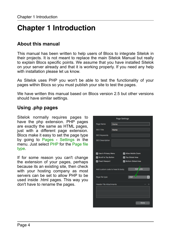# <span id="page-3-0"></span>**Chapter 1 Introduction**

# <span id="page-3-1"></span>**About this manual**

This manual has been written to help users of Blocs to integrate Sitelok in their projects. It is not meant to replace the main Sitelok Manual but really to explain Blocs specific points. We assume that you have installed Sitelok on your server already and that it is working properly. If you need any help with installation please let us know.

As Sitelok uses PHP you won't be able to test the functionality of your pages within Blocs so you must publish your site to test the pages.

We have written this manual based on Blocs version 2.5 but other versions should have similar settings.

# <span id="page-3-2"></span>**Using .php pages**

Sitelok normally requires pages to have the php extension. PHP pages are exactly the same as HTML pages, just with a different page extension. Blocs make it easy to set the page type by going to Pages - Settings in the menu. Just select PHP for the Page file type.

If for some reason you can't change the extension of your pages, perhaps because its an existing site, then check with your hosting company as most servers can be set to allow PHP to be used inside .html pages. This way you don't have to rename the pages.

|                                 | <b>Page Settings</b> |                 |                           |                |
|---------------------------------|----------------------|-----------------|---------------------------|----------------|
| Page Name                       | Home                 |                 |                           |                |
| <b>SEO Title</b>                | Home                 |                 |                           |                |
| <b>SEO Keywords</b>             |                      |                 |                           |                |
| <b>SEO Description</b>          |                      |                 |                           |                |
|                                 |                      |                 |                           |                |
| Use in Primary Menu             |                      |                 | Allow Mobile Zoom         |                |
| Scroll to Top Button            |                      | Top Global Area |                           |                |
| <b>7</b> Fixed Viewport         |                      |                 | <b>Bottom Global Area</b> |                |
| Add custom code to head & body. |                      |                 | Add <b>Code</b>           |                |
| Page file type                  |                      | PHP             |                           | $\ddot{\circ}$ |
| <b>Header File Attachments</b>  |                      |                 |                           |                |
|                                 |                      |                 |                           |                |
|                                 |                      |                 |                           |                |
|                                 |                      |                 |                           |                |
|                                 |                      |                 | Done                      |                |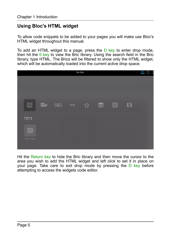# <span id="page-4-0"></span>**Using Bloc's HTML widget**

To allow code snippets to be added to your pages you will make use Bloc's HTML widget throughout this manual.

To add an HTML widget to a page, press the  $D$  key to enter drop mode. then hit the  $0$  key to view the Bric library. Using the search field in the Bric library, type HTML. The Brics will be filtered to show only the HTML widget, which will be automatically loaded into the current active drop space.



Hit the Return key to hide the Bric library and then move the cursor to the area you wish to add the HTML widget and left click to set it in place on your page. Take care to exit drop mode by pressing the D key before attempting to access the widgets code editor.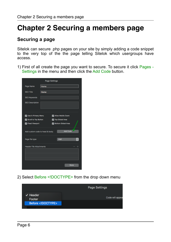# <span id="page-5-0"></span>**Chapter 2 Securing a members page**

# <span id="page-5-1"></span>**Securing a page**

Sitelok can secure .php pages on your site by simply adding a code snippet to the very top of the the page telling Sitelok which usergroups have access.

1) First of all create the page you want to secure. To secure it click Pages - Settings in the menu and then click the Add Code button.

|                                 | <b>Page Settings</b>           |                           |   |  |
|---------------------------------|--------------------------------|---------------------------|---|--|
| Page Name                       | Home                           |                           |   |  |
| SEO Title                       | Home                           |                           |   |  |
| <b>SEO Keywords</b>             |                                |                           |   |  |
| <b>SEO Description</b>          |                                |                           |   |  |
| Use in Primary Menu             |                                | Allow Mobile Zoom         |   |  |
| Scroll to Top Button            |                                | Top Global Area           |   |  |
| Fixed Viewport                  |                                | <b>Bottom Global Area</b> |   |  |
| Add custom code to head & body. |                                | <b>Add Code</b>           |   |  |
| Page file type                  |                                | PHP                       | ٥ |  |
|                                 | <b>Header File Attachments</b> |                           |   |  |
|                                 |                                |                           |   |  |
|                                 |                                |                           |   |  |
|                                 |                                |                           |   |  |
|                                 |                                | Done                      |   |  |

2) Select Before <! DOCTYPE > from the drop down menu

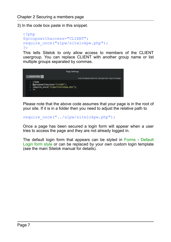3) In the code box paste in this snippet.

```
<?php
$groupswithaccess="CLIENT";
require_once("slpw/sitelokpw.php");
?>
```
This tells Sitelok to only allow access to members of the CLIENT usergroup. You can replace CLIENT with another group name or list multiple groups separated by commas.



Please note that the above code assumes that your page is in the root of your site. If it is in a folder then you need to adjust the relative path to

require once("../slpw/sitelokpw.php");

Once a page has been secured a login form will appear when a user tries to access the page and they are not already logged in.

The default login form that appears can be styled in Forms - Default Login form style or can be replaced by your own custom login template (see the main Sitelok manual for details).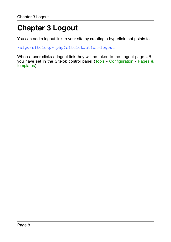# <span id="page-7-0"></span>**Chapter 3 Logout**

You can add a logout link to your site by creating a hyperlink that points to

/slpw/sitelokpw.php?sitelokaction=logout

When a user clicks a logout link they will be taken to the Logout page URL you have set in the Sitelok control panel (Tools - Configuration - Pages & templates)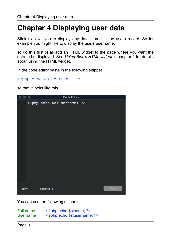# <span id="page-8-0"></span>**Chapter 4 Displaying user data**

Sitelok allows you to display any data stored in the users record. So for example you might like to display the users username.

To do this first of all add an HTML widget to the page where you want the data to be displayed. See *Using Bloc's HTML widget* in chapter 1 for details about using the HTML widget.

In the code editor paste in the following snippet

```
<?php echo $slusername; ?>
```
so that it looks like this



You can use the following snippets.

| Full name | php echo \$slname; ?     |
|-----------|--------------------------|
| Username  | php echo \$slusername; ? |

Page 9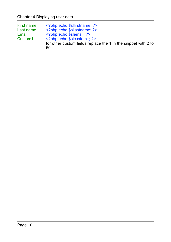| First name          | php echo \$slfirstname; ?                                      |
|---------------------|----------------------------------------------------------------|
| Last name           | php echo \$sllastname; ?                                       |
| Email               | php echo \$slemail; ?                                          |
| Custom <sub>1</sub> | $\leq$ ?php echo \$slcustom1; ?>                               |
|                     | for other custom fields replace the 1 in the snippet with 2 to |
|                     | 50.                                                            |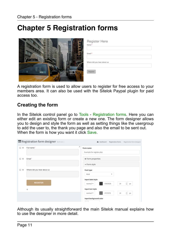# <span id="page-10-0"></span>**Chapter 5 Registration forms**

|      | Register Here<br>Name*      |
|------|-----------------------------|
|      | Email*                      |
| 4K72 | Where did you hear about us |
|      | Register                    |

A registration form is used to allow users to register for free access to your members area. It can also be used with the Sitelok Paypal plugin for paid access too.

### <span id="page-10-1"></span>**Creating the form**

In the Sitelok control panel go to Tools - Registration forms. Here you can either edit an existing form or create a new one. The form designer allows you to design and style the form as well as setting things like the usergroup to add the user to, the thank you page and also the email to be sent out. When the form is how you want it click Save.

| Registration form designer form id: 1 | <b>@</b> Dashboard > Registration forms > Registration form designer |
|---------------------------------------|----------------------------------------------------------------------|
| 区关<br>Full name*                      | ż<br>Form name<br>Example for register.php                           |
| $\alpha$ x<br>Email*                  | + Form properties                                                    |
|                                       | - Form style                                                         |
| 区区<br>Where did you hear about us     | Font type<br>Arial<br>٠                                              |
| <b>REGISTER</b>                       | Input label style<br>$\odot$<br>#3A3A3A<br>14<br>normal *<br>px      |
| ÷                                     | Input text style                                                     |
|                                       | $\hat{\boldsymbol{\epsilon}}$<br>#737373<br>normal *<br>14<br>рх     |
|                                       | Input background color<br>$\sim$                                     |

Although its usually straightforward the main Sitelok manual explains how to use the designer in more detail.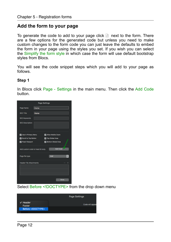# <span id="page-11-0"></span>**Add the form to your page**

To generate the code to add to your page click  $\Box$  next to the form. There are a few options for the generated code but unless you need to make custom changes to the form code you can just leave the defaults to embed the form in your page using the styles you set. If you wish you can select the Simplify the form style in which case the form will use default bootstrap styles from Blocs.

You will see the code snippet steps which you will add to your page as follows.

#### **Step 1**

In Blocs click Page - Settings in the main menu. Then click the Add Code button.

| <b>Page Settings</b>            |      |  |                           |                 |               |
|---------------------------------|------|--|---------------------------|-----------------|---------------|
| Page Name                       | Home |  |                           |                 |               |
| <b>SEO Title</b>                | Home |  |                           |                 |               |
| <b>SEO Keywords</b>             |      |  |                           |                 |               |
| <b>SEO Description</b>          |      |  |                           |                 |               |
| Use in Primary Menu             |      |  | Allow Mobile Zoom         |                 |               |
| Scroll to Top Button            |      |  | Top Global Area           |                 |               |
| <b>D</b> Fixed Viewport         |      |  | <b>Bottom Global Area</b> |                 |               |
| Add custom code to head & body. |      |  |                           | <b>Add Code</b> |               |
| Page file type                  |      |  | PHP                       |                 | $\frac{1}{2}$ |
| <b>Header File Attachments</b>  |      |  |                           |                 |               |
|                                 |      |  |                           |                 |               |
|                                 |      |  |                           |                 |               |
|                                 |      |  |                           |                 |               |
|                                 |      |  |                           | Done            |               |

Select Before <! DOCTYPE > from the drop down menu

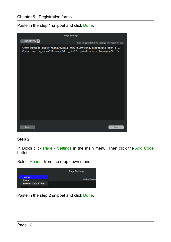Paste in the step 1 snippet and click Done.



#### **Step 2**

In Blocs click Page - Settings in the main menu. Then click the Add Code button.

Select Header from the drop down menu



Paste in the step 2 snippet and click Done.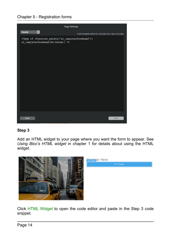#### Chapter 5 - Registration forms



#### **Step 3**

Add an HTML widget to your page where you want the form to appear. See *Using Bloc's HTML widget* in chapter 1 for details about using the HTML widget.



Click HTML Widget to open the code editor and paste in the Step 3 code snippet.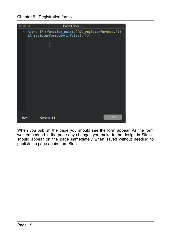Chapter 5 - Registration forms

|       |           | <b>Code Editor</b>                                                                    |      |
|-------|-----------|---------------------------------------------------------------------------------------|------|
|       |           | 1 php if (function_exists('sl_registerformbody'))<br sl_registerformbody(1,false); ?> |      |
|       | I         |                                                                                       |      |
|       |           |                                                                                       |      |
|       |           |                                                                                       |      |
|       |           |                                                                                       |      |
|       |           |                                                                                       |      |
|       |           |                                                                                       |      |
| Row 1 | Column 83 |                                                                                       | Done |

When you publish the page you should see the form appear. As the form was embedded in the page any changes you make to the design in Sitelok should appear on the page immediately when saved without needing to publish the page again from Blocs.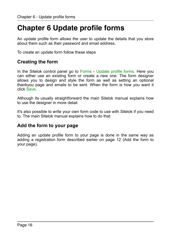# <span id="page-15-0"></span>**Chapter 6 Update profile forms**

An update profile form allows the user to update the details that you store about them such as their password and email address.

To create an update form follow these steps

### <span id="page-15-1"></span>**Creating the form**

In the Sitelok control panel go to Forms - Update profile forms. Here you can either use an existing form or create a new one. The form designer allows you to design and style the form as well as setting an optional thankyou page and emails to be sent. When the form is how you want it click Save.

Although its usually straightforward the main Sitelok manual explains how to use the designer in more detail.

It's also possible to write your own form code to use with Sitelok if you need to. The main Sitelok manual explains how to do that.

# <span id="page-15-2"></span>**Add the form to your page**

Adding an update profile form to your page is done in the same way as adding a registration form described earlier on page 12 (Add the form to your page).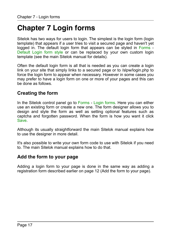# <span id="page-16-0"></span>**Chapter 7 Login forms**

Sitelok has two ways for users to login. The simplest is the login form (login template) that appears if a user tries to visit a secured page and haven't yet logged in. The default login form that appears can be styled in Forms - Default Login form style or can be replaced by your own custom login template (see the main Sitelok manual for details).

Often the default login form is all that is needed as you can create a login link on your site that simply links to a secured page or to /slpw/login.php to force the login form to appear when necessary. However in some cases you may prefer to have a login form on one or more of your pages and this can be done as follows.

### <span id="page-16-1"></span>**Creating the form**

In the Sitelok control panel go to Forms - Login forms. Here you can either use an existing form or create a new one. The form designer allows you to design and style the form as well as setting optional features such as captcha and forgotten password. When the form is how you want it click Save.

Although its usually straightforward the main Sitelok manual explains how to use the designer in more detail.

It's also possible to write your own form code to use with Sitelok if you need to. The main Sitelok manual explains how to do that.

### <span id="page-16-2"></span>**Add the form to your page**

Adding a login form to your page is done in the same way as adding a registration form described earlier on page 12 (Add the form to your page).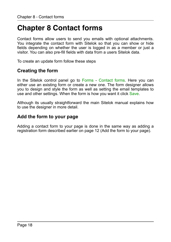# <span id="page-17-0"></span>**Chapter 8 Contact forms**

Contact forms allow users to send you emails with optional attachments. You integrate the contact form with Sitelok so that you can show or hide fields depending on whether the user is logged in as a member or just a visitor. You can also pre-fill fields with data from a users Sitelok data.

To create an update form follow these steps

### <span id="page-17-1"></span>**Creating the form**

In the Sitelok control panel go to Forms - Contact forms. Here you can either use an existing form or create a new one. The form designer allows you to design and style the form as well as setting the email templates to use and other settings. When the form is how you want it click Save.

Although its usually straightforward the main Sitelok manual explains how to use the designer in more detail.

### <span id="page-17-2"></span>**Add the form to your page**

Adding a contact form to your page is done in the same way as adding a registration form described earlier on page 12 (Add the form to your page).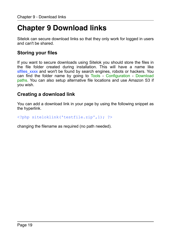# <span id="page-18-0"></span>**Chapter 9 Download links**

Sitelok can secure download links so that they only work for logged in users and can't be shared.

# <span id="page-18-1"></span>**Storing your files**

If you want to secure downloads using Sitelok you should store the files in the file folder created during installation. This will have a name like slfiles xxxx and won't be found by search engines, robots or hackers. You can find the folder name by going to Tools - Configuration - Download paths. You can also setup alternative file locations and use Amazon S3 if you wish.

### <span id="page-18-2"></span>**Creating a download link**

You can add a download link in your page by using the following snippet as the hyperlink.

<?php siteloklink('testfile.zip',1); ?>

changing the filename as required (no path needed).